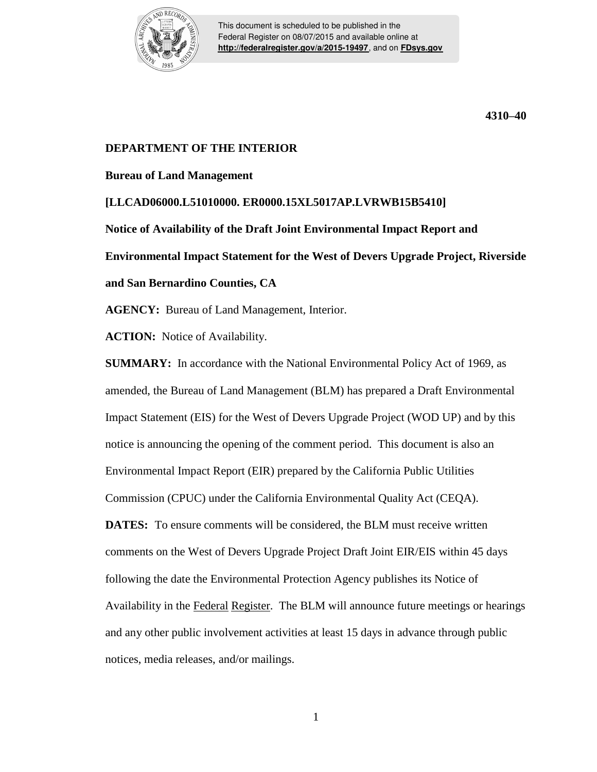

This document is scheduled to be published in the Federal Register on 08/07/2015 and available online at **<http://federalregister.gov/a/2015-19497>**, and on **[FDsys.gov](http://federalregister.gov/a/2015-19497.pdf)**

**4310–40**

## **DEPARTMENT OF THE INTERIOR**

**Bureau of Land Management**

**[LLCAD06000.L51010000. ER0000.15XL5017AP.LVRWB15B5410] Notice of Availability of the Draft Joint Environmental Impact Report and Environmental Impact Statement for the West of Devers Upgrade Project, Riverside and San Bernardino Counties, CA**

**AGENCY:** Bureau of Land Management, Interior.

**ACTION:** Notice of Availability.

**SUMMARY:** In accordance with the National Environmental Policy Act of 1969, as amended, the Bureau of Land Management (BLM) has prepared a Draft Environmental Impact Statement (EIS) for the West of Devers Upgrade Project (WOD UP) and by this notice is announcing the opening of the comment period. This document is also an Environmental Impact Report (EIR) prepared by the California Public Utilities Commission (CPUC) under the California Environmental Quality Act (CEQA). **DATES:** To ensure comments will be considered, the BLM must receive written comments on the West of Devers Upgrade Project Draft Joint EIR/EIS within 45 days following the date the Environmental Protection Agency publishes its Notice of Availability in the Federal Register. The BLM will announce future meetings or hearings and any other public involvement activities at least 15 days in advance through public notices, media releases, and/or mailings.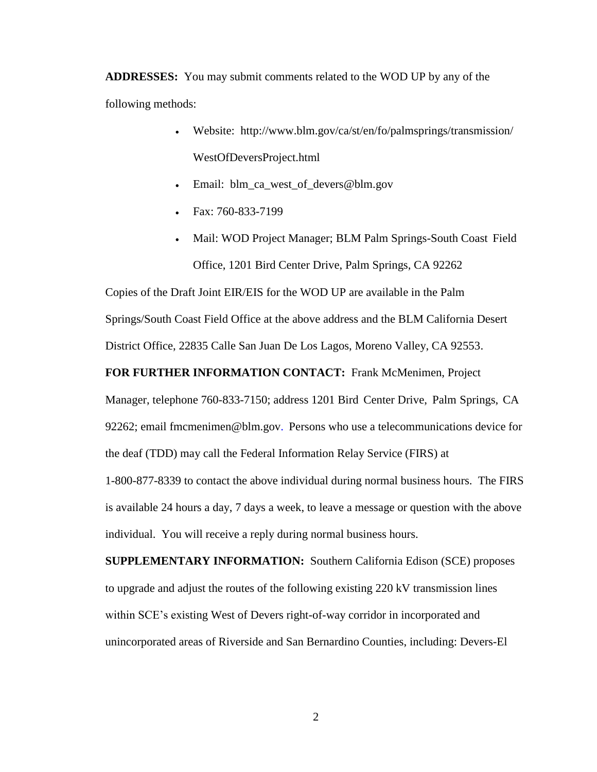**ADDRESSES:** You may submit comments related to the WOD UP by any of the following methods:

- Website: http://www.blm.gov/ca/st/en/fo/palmsprings/transmission/ WestOfDeversProject.html
- Email: blm\_ca\_west\_of\_devers@blm.gov
- Fax: 760-833-7199
- Mail: WOD Project Manager; BLM Palm Springs-South Coast Field Office, 1201 Bird Center Drive, Palm Springs, CA 92262

Copies of the Draft Joint EIR/EIS for the WOD UP are available in the Palm Springs/South Coast Field Office at the above address and the BLM California Desert District Office, 22835 Calle San Juan De Los Lagos, Moreno Valley, CA 92553.

**FOR FURTHER INFORMATION CONTACT:** Frank McMenimen, Project

Manager, telephone 760-833-7150; address 1201 Bird Center Drive, Palm Springs, CA 92262; email fmcmenimen@blm.gov. Persons who use a telecommunications device for the deaf (TDD) may call the Federal Information Relay Service (FIRS) at

1-800-877-8339 to contact the above individual during normal business hours. The FIRS is available 24 hours a day, 7 days a week, to leave a message or question with the above individual. You will receive a reply during normal business hours.

**SUPPLEMENTARY INFORMATION:** Southern California Edison (SCE) proposes to upgrade and adjust the routes of the following existing 220 kV transmission lines within SCE's existing West of Devers right-of-way corridor in incorporated and unincorporated areas of Riverside and San Bernardino Counties, including: Devers-El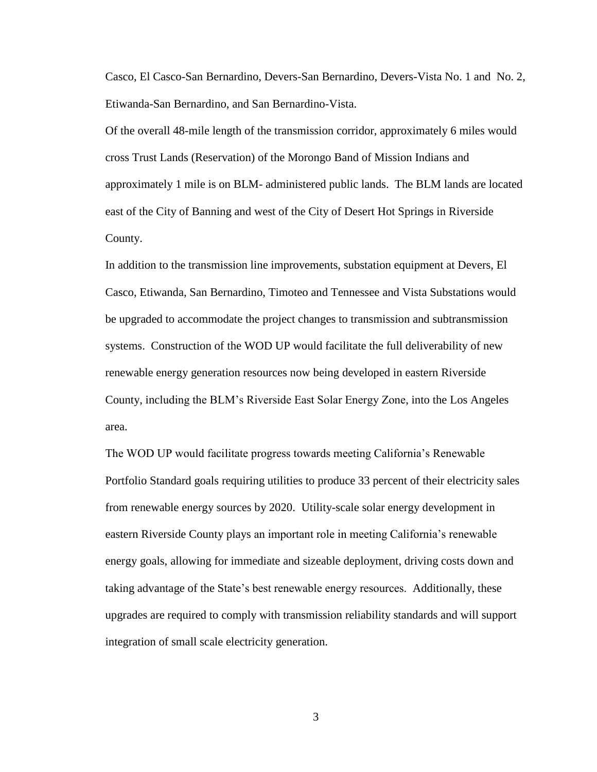Casco, El Casco-San Bernardino, Devers-San Bernardino, Devers-Vista No. 1 and No. 2, Etiwanda-San Bernardino, and San Bernardino-Vista.

Of the overall 48-mile length of the transmission corridor, approximately 6 miles would cross Trust Lands (Reservation) of the Morongo Band of Mission Indians and approximately 1 mile is on BLM- administered public lands. The BLM lands are located east of the City of Banning and west of the City of Desert Hot Springs in Riverside County.

In addition to the transmission line improvements, substation equipment at Devers, El Casco, Etiwanda, San Bernardino, Timoteo and Tennessee and Vista Substations would be upgraded to accommodate the project changes to transmission and subtransmission systems. Construction of the WOD UP would facilitate the full deliverability of new renewable energy generation resources now being developed in eastern Riverside County, including the BLM's Riverside East Solar Energy Zone, into the Los Angeles area.

The WOD UP would facilitate progress towards meeting California's Renewable Portfolio Standard goals requiring utilities to produce 33 percent of their electricity sales from renewable energy sources by 2020. Utility-scale solar energy development in eastern Riverside County plays an important role in meeting California's renewable energy goals, allowing for immediate and sizeable deployment, driving costs down and taking advantage of the State's best renewable energy resources. Additionally, these upgrades are required to comply with transmission reliability standards and will support integration of small scale electricity generation.

3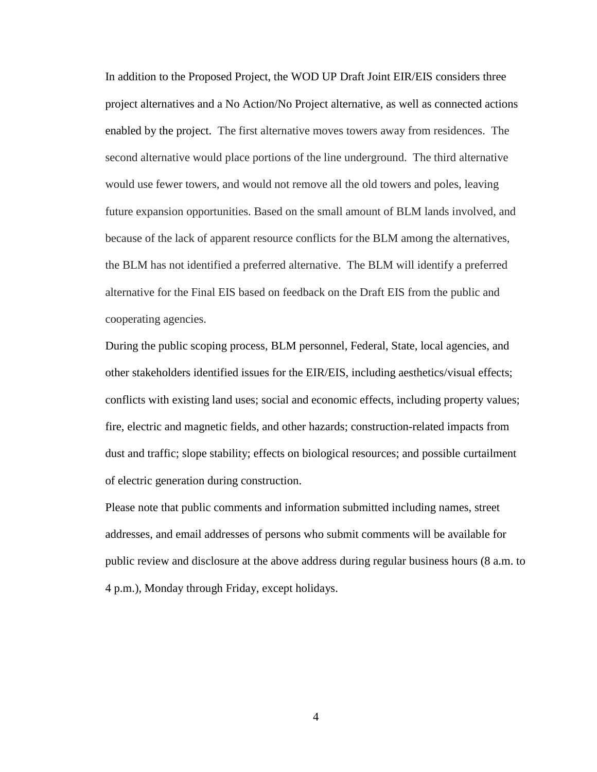In addition to the Proposed Project, the WOD UP Draft Joint EIR/EIS considers three project alternatives and a No Action/No Project alternative, as well as connected actions enabled by the project. The first alternative moves towers away from residences. The second alternative would place portions of the line underground. The third alternative would use fewer towers, and would not remove all the old towers and poles, leaving future expansion opportunities. Based on the small amount of BLM lands involved, and because of the lack of apparent resource conflicts for the BLM among the alternatives, the BLM has not identified a preferred alternative. The BLM will identify a preferred alternative for the Final EIS based on feedback on the Draft EIS from the public and cooperating agencies.

During the public scoping process, BLM personnel, Federal, State, local agencies, and other stakeholders identified issues for the EIR/EIS, including aesthetics/visual effects; conflicts with existing land uses; social and economic effects, including property values; fire, electric and magnetic fields, and other hazards; construction-related impacts from dust and traffic; slope stability; effects on biological resources; and possible curtailment of electric generation during construction.

Please note that public comments and information submitted including names, street addresses, and email addresses of persons who submit comments will be available for public review and disclosure at the above address during regular business hours (8 a.m. to 4 p.m.), Monday through Friday, except holidays.

4